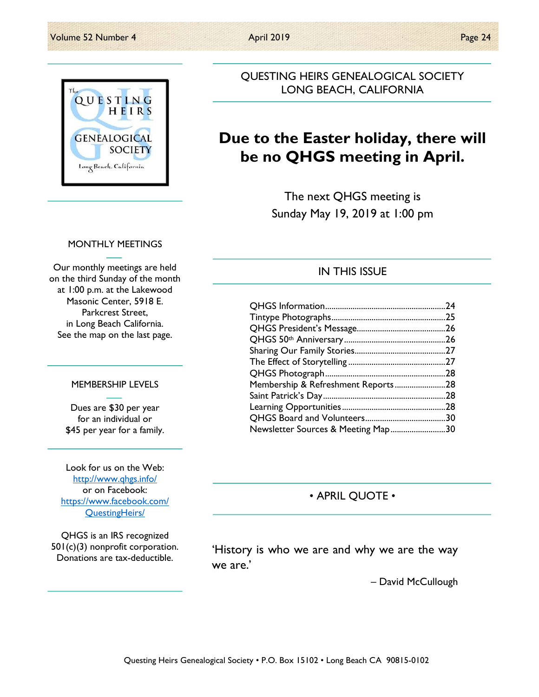

QUESTING HEIRS GENEALOGICAL SOCIETY LONG BEACH, CALIFORNIA

# **Due to the Easter holiday, there will be no QHGS meeting in April.**

The next QHGS meeting is Sunday May 19, 2019 at 1:00 pm

### MONTHLY MEETINGS

Our monthly meetings are held on the third Sunday of the month at 1:00 p.m. at the Lakewood Masonic Center, 5918 E. Parkcrest Street, in Long Beach California. See the map on the last page.

#### MEMBERSHIP LEVELS

Dues are \$30 per year for an individual or \$45 per year for a family.

Look for us on the Web: http://www.qhgs.info/ or on Facebook: https://www.facebook.com/ QuestingHeirs/

QHGS is an IRS recognized 501(c)(3) nonprofit corporation. Donations are tax-deductible.

## IN THIS ISSUE

| Membership & Refreshment Reports28 |  |
|------------------------------------|--|
|                                    |  |
|                                    |  |
|                                    |  |
| Newsletter Sources & Meeting Map30 |  |

• APRIL QUOTE •

'History is who we are and why we are the way we are.'

– David McCullough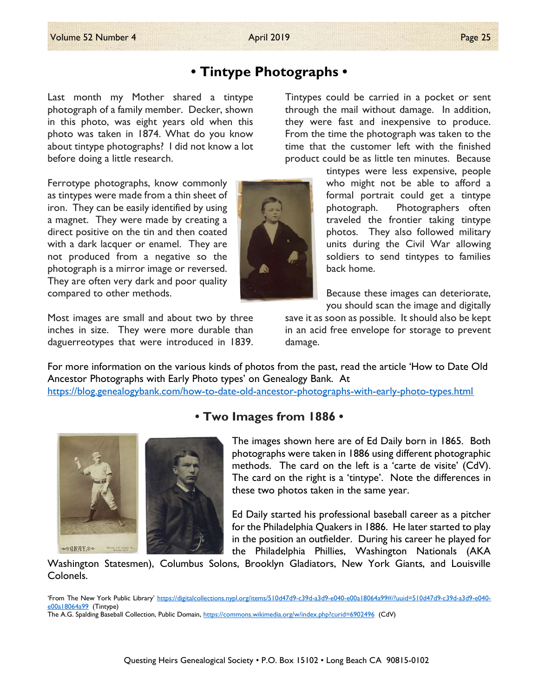# **• Tintype Photographs •**

Last month my Mother shared a tintype photograph of a family member. Decker, shown in this photo, was eight years old when this photo was taken in 1874. What do you know about tintype photographs? I did not know a lot before doing a little research.

Ferrotype photographs, know commonly as tintypes were made from a thin sheet of iron. They can be easily identified by using a magnet. They were made by creating a direct positive on the tin and then coated with a dark lacquer or enamel. They are not produced from a negative so the photograph is a mirror image or reversed. They are often very dark and poor quality compared to other methods.

Most images are small and about two by three inches in size. They were more durable than daguerreotypes that were introduced in 1839. Tintypes could be carried in a pocket or sent through the mail without damage. In addition, they were fast and inexpensive to produce. From the time the photograph was taken to the time that the customer left with the finished product could be as little ten minutes. Because

> tintypes were less expensive, people who might not be able to afford a formal portrait could get a tintype photograph. Photographers often traveled the frontier taking tintype photos. They also followed military units during the Civil War allowing soldiers to send tintypes to families back home.

Because these images can deteriorate, you should scan the image and digitally

save it as soon as possible. It should also be kept in an acid free envelope for storage to prevent damage.

For more information on the various kinds of photos from the past, read the article 'How to Date Old Ancestor Photographs with Early Photo types' on Genealogy Bank. At https://blog.genealogybank.com/how-to-date-old-ancestor-photographs-with-early-photo-types.html



## **• Two Images from 1886 •**

The images shown here are of Ed Daily born in 1865. Both photographs were taken in 1886 using different photographic methods. The card on the left is a 'carte de visite' (CdV). The card on the right is a 'tintype'. Note the differences in these two photos taken in the same year.

Ed Daily started his professional baseball career as a pitcher for the Philadelphia Quakers in 1886. He later started to play in the position an outfielder. During his career he played for the Philadelphia Phillies, Washington Nationals (AKA

Washington Statesmen), Columbus Solons, Brooklyn Gladiators, New York Giants, and Louisville Colonels.

'From The New York Public Library' https://digitalcollections.nypl.org/items/510d47d9-c39d-a3d9-e040-e00a18064a99#/?uuid=510d47d9-c39d-a3d9-e040e00a18064a99 (Tintype)

The A.G. Spalding Baseball Collection, Public Domain, https://commons.wikimedia.org/w/index.php?curid=6902496 (CdV)

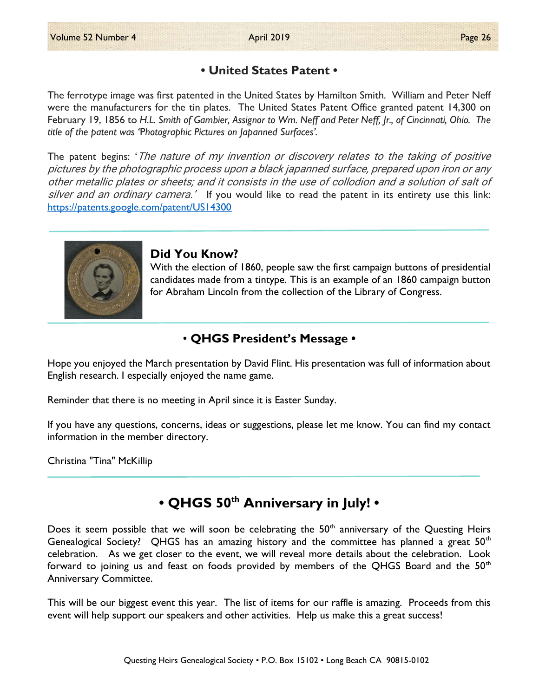## **• United States Patent •**

The ferrotype image was first patented in the United States by Hamilton Smith. William and Peter Neff were the manufacturers for the tin plates. The United States Patent Office granted patent 14,300 on February 19, 1856 to *H.L. Smith of Gambier, Assignor to Wm. Neff and Peter Neff, Jr., of Cincinnati, Ohio. The title of the patent was '*P*hotographic Pictures on Japanned Surfaces'.*

The patent begins: 'The nature of my invention or discovery relates to the taking of positive pictures by the photographic process upon a black japanned surface, prepared upon iron or any other metallic plates or sheets; and it consists in the use of collodion and a solution of salt of silver and an ordinary camera.' If you would like to read the patent in its entirety use this link: https://patents.google.com/patent/US14300



## **Did You Know?**

With the election of 1860, people saw the first campaign buttons of presidential candidates made from a tintype. This is an example of an 1860 campaign button for Abraham Lincoln from the collection of the Library of Congress.

## • **QHGS President's Message •**

Hope you enjoyed the March presentation by David Flint. His presentation was full of information about English research. I especially enjoyed the name game.

Reminder that there is no meeting in April since it is Easter Sunday.

If you have any questions, concerns, ideas or suggestions, please let me know. You can find my contact information in the member directory.

Christina "Tina" McKillip

## **• QHGS 50th Anniversary in July! •**

Does it seem possible that we will soon be celebrating the  $50<sup>th</sup>$  anniversary of the Questing Heirs Genealogical Society? QHGS has an amazing history and the committee has planned a great  $50<sup>th</sup>$ celebration. As we get closer to the event, we will reveal more details about the celebration. Look forward to joining us and feast on foods provided by members of the QHGS Board and the  $50<sup>th</sup>$ Anniversary Committee.

This will be our biggest event this year. The list of items for our raffle is amazing. Proceeds from this event will help support our speakers and other activities. Help us make this a great success!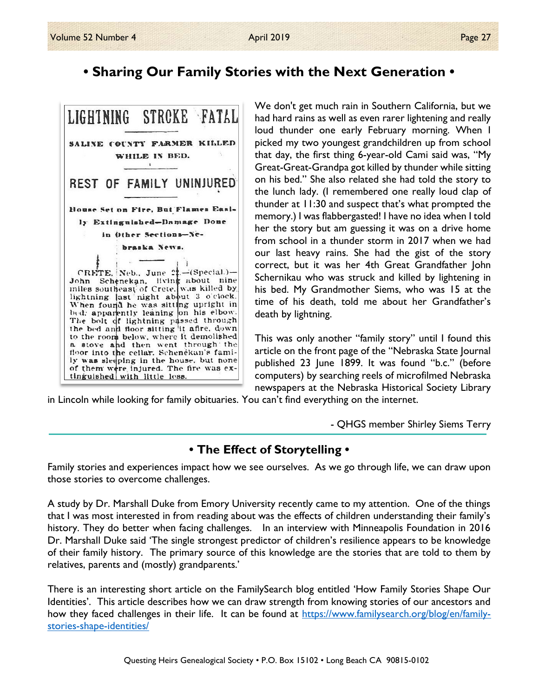# **• Sharing Our Family Stories with the Next Generation •**



We don't get much rain in Southern California, but we had hard rains as well as even rarer lightening and really loud thunder one early February morning. When I picked my two youngest grandchildren up from school that day, the first thing 6-year-old Cami said was, "My Great-Great-Grandpa got killed by thunder while sitting on his bed." She also related she had told the story to the lunch lady. (I remembered one really loud clap of thunder at 11:30 and suspect that's what prompted the memory.) I was flabbergasted! I have no idea when I told her the story but am guessing it was on a drive home from school in a thunder storm in 2017 when we had our last heavy rains. She had the gist of the story correct, but it was her 4th Great Grandfather John Schernikau who was struck and killed by lightening in his bed. My Grandmother Siems, who was 15 at the time of his death, told me about her Grandfather's death by lightning.

This was only another "family story" until I found this article on the front page of the "Nebraska State Journal published 23 June 1899. It was found "b.c." (before computers) by searching reels of microfilmed Nebraska newspapers at the Nebraska Historical Society Library

in Lincoln while looking for family obituaries. You can't find everything on the internet.

- QHGS member Shirley Siems Terry

## **• The Effect of Storytelling •**

Family stories and experiences impact how we see ourselves. As we go through life, we can draw upon those stories to overcome challenges.

A study by Dr. Marshall Duke from Emory University recently came to my attention. One of the things that I was most interested in from reading about was the effects of children understanding their family's history. They do better when facing challenges. In an interview with Minneapolis Foundation in 2016 Dr. Marshall Duke said 'The single strongest predictor of children's resilience appears to be knowledge of their family history. The primary source of this knowledge are the stories that are told to them by relatives, parents and (mostly) grandparents.'

There is an interesting short article on the FamilySearch blog entitled 'How Family Stories Shape Our Identities'. This article describes how we can draw strength from knowing stories of our ancestors and how they faced challenges in their life. It can be found at https://www.familysearch.org/blog/en/familystories-shape-identities/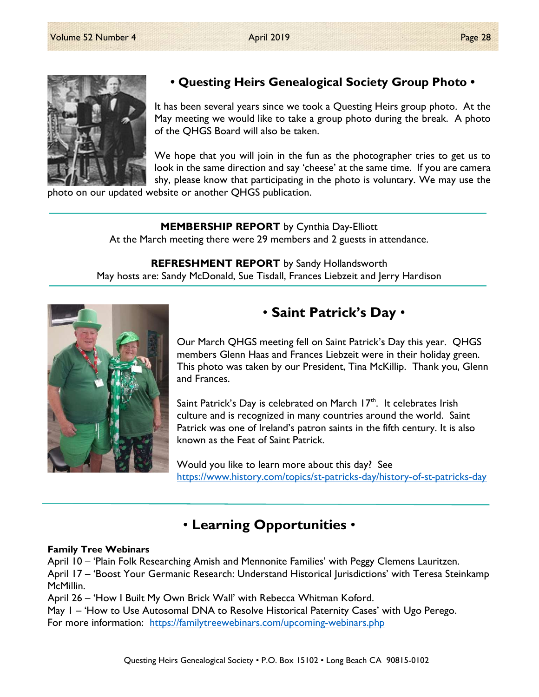

## **• Questing Heirs Genealogical Society Group Photo •**

It has been several years since we took a Questing Heirs group photo. At the May meeting we would like to take a group photo during the break. A photo of the QHGS Board will also be taken.

We hope that you will join in the fun as the photographer tries to get us to look in the same direction and say 'cheese' at the same time. If you are camera shy, please know that participating in the photo is voluntary. We may use the

photo on our updated website or another QHGS publication.

### **MEMBERSHIP REPORT** by Cynthia Day-Elliott

At the March meeting there were 29 members and 2 guests in attendance.

**REFRESHMENT REPORT** by Sandy Hollandsworth May hosts are: Sandy McDonald, Sue Tisdall, Frances Liebzeit and Jerry Hardison



## • **Saint Patrick's Day** •

Our March QHGS meeting fell on Saint Patrick's Day this year. QHGS members Glenn Haas and Frances Liebzeit were in their holiday green. This photo was taken by our President, Tina McKillip. Thank you, Glenn and Frances.

Saint Patrick's Day is celebrated on March  $17<sup>th</sup>$ . It celebrates Irish culture and is recognized in many countries around the world. Saint Patrick was one of Ireland's patron saints in the fifth century. It is also known as the Feat of Saint Patrick.

Would you like to learn more about this day? See https://www.history.com/topics/st-patricks-day/history-of-st-patricks-day

## • **Learning Opportunities** •

### **Family Tree Webinars**

April 10 – 'Plain Folk Researching Amish and Mennonite Families' with Peggy Clemens Lauritzen. April 17 – 'Boost Your Germanic Research: Understand Historical Jurisdictions' with Teresa Steinkamp McMillin.

April 26 – 'How I Built My Own Brick Wall' with Rebecca Whitman Koford.

May 1 – 'How to Use Autosomal DNA to Resolve Historical Paternity Cases' with Ugo Perego. For more information: https://familytreewebinars.com/upcoming-webinars.php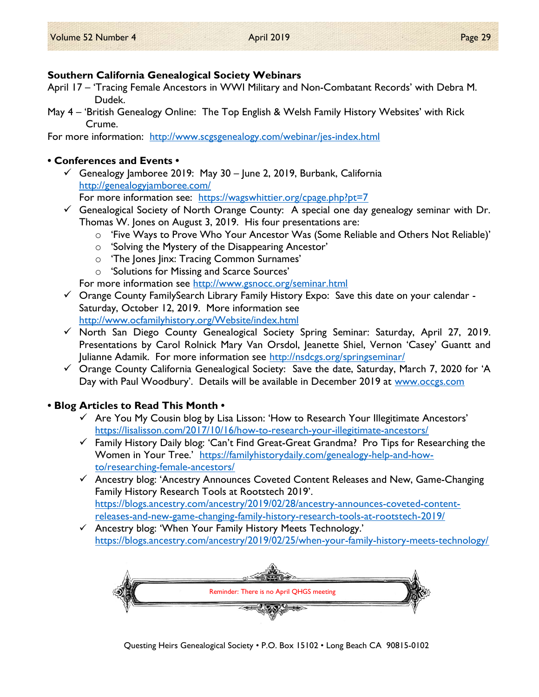## **Southern California Genealogical Society Webinars**

- April 17 'Tracing Female Ancestors in WWI Military and Non-Combatant Records' with Debra M. Dudek.
- May 4 'British Genealogy Online: The Top English & Welsh Family History Websites' with Rick Crume.

For more information: http://www.scgsgenealogy.com/webinar/jes-index.html

## **• Conferences and Events •**

 $\checkmark$  Genealogy Jamboree 2019: May 30 – June 2, 2019, Burbank, California http://genealogyjamboree.com/

For more information see: https://wagswhittier.org/cpage.php?pt=7

- $\checkmark$  Genealogical Society of North Orange County: A special one day genealogy seminar with Dr. Thomas W. Jones on August 3, 2019. His four presentations are:
	- o 'Five Ways to Prove Who Your Ancestor Was (Some Reliable and Others Not Reliable)'
	- o 'Solving the Mystery of the Disappearing Ancestor'
	- o 'The Jones Jinx: Tracing Common Surnames'
	- o 'Solutions for Missing and Scarce Sources'

For more information see http://www.gsnocc.org/seminar.html

- $\checkmark$  Orange County FamilySearch Library Family History Expo: Save this date on your calendar -Saturday, October 12, 2019. More information see http://www.ocfamilyhistory.org/Website/index.html
- $\checkmark$  North San Diego County Genealogical Society Spring Seminar: Saturday, April 27, 2019. Presentations by Carol Rolnick Mary Van Orsdol, Jeanette Shiel, Vernon 'Casey' Guantt and Julianne Adamik. For more information see http://nsdcgs.org/springseminar/
- $\checkmark$  Orange County California Genealogical Society: Save the date, Saturday, March 7, 2020 for 'A Day with Paul Woodbury'. Details will be available in December 2019 at www.occgs.com

## **• Blog Articles to Read This Month •**

- $\checkmark$  Are You My Cousin blog by Lisa Lisson: 'How to Research Your Illegitimate Ancestors' https://lisalisson.com/2017/10/16/how-to-research-your-illegitimate-ancestors/
- $\checkmark$  Family History Daily blog: 'Can't Find Great-Great Grandma? Pro Tips for Researching the Women in Your Tree.' https://familyhistorydaily.com/genealogy-help-and-howto/researching-female-ancestors/
- $\checkmark$  Ancestry blog: 'Ancestry Announces Coveted Content Releases and New, Game-Changing Family History Research Tools at Rootstech 2019'. https://blogs.ancestry.com/ancestry/2019/02/28/ancestry-announces-coveted-contentreleases-and-new-game-changing-family-history-research-tools-at-rootstech-2019/
- $\checkmark$  Ancestry blog: 'When Your Family History Meets Technology.' https://blogs.ancestry.com/ancestry/2019/02/25/when-your-family-history-meets-technology/